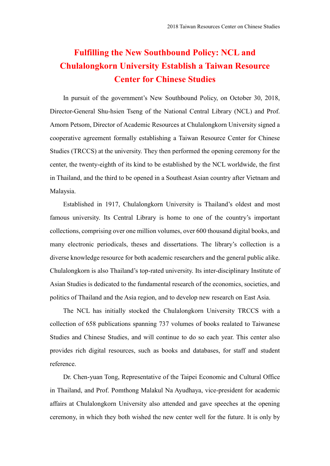## **Fulfilling the New Southbound Policy: NCL and Chulalongkorn University Establish a Taiwan Resource Center for Chinese Studies**

In pursuit of the government's New Southbound Policy, on October 30, 2018, Director-General Shu-hsien Tseng of the National Central Library (NCL) and Prof. Amorn Petsom, Director of Academic Resources at Chulalongkorn University signed a cooperative agreement formally establishing a Taiwan Resource Center for Chinese Studies (TRCCS) at the university. They then performed the opening ceremony for the center, the twenty-eighth of its kind to be established by the NCL worldwide, the first in Thailand, and the third to be opened in a Southeast Asian country after Vietnam and Malaysia.

Established in 1917, Chulalongkorn University is Thailand's oldest and most famous university. Its Central Library is home to one of the country's important collections, comprising over one million volumes, over 600 thousand digital books, and many electronic periodicals, theses and dissertations. The library's collection is a diverse knowledge resource for both academic researchers and the general public alike. Chulalongkorn is also Thailand's top-rated university. Its inter-disciplinary Institute of Asian Studies is dedicated to the fundamental research of the economics, societies, and politics of Thailand and the Asia region, and to develop new research on East Asia.

The NCL has initially stocked the Chulalongkorn University TRCCS with a collection of 658 publications spanning 737 volumes of books realated to Taiwanese Studies and Chinese Studies, and will continue to do so each year. This center also provides rich digital resources, such as books and databases, for staff and student reference.

Dr. Chen-yuan Tong, Representative of the Taipei Economic and Cultural Office in Thailand, and Prof. Pomthong Malakul Na Ayudhaya, vice-president for academic affairs at Chulalongkorn University also attended and gave speeches at the opening ceremony, in which they both wished the new center well for the future. It is only by